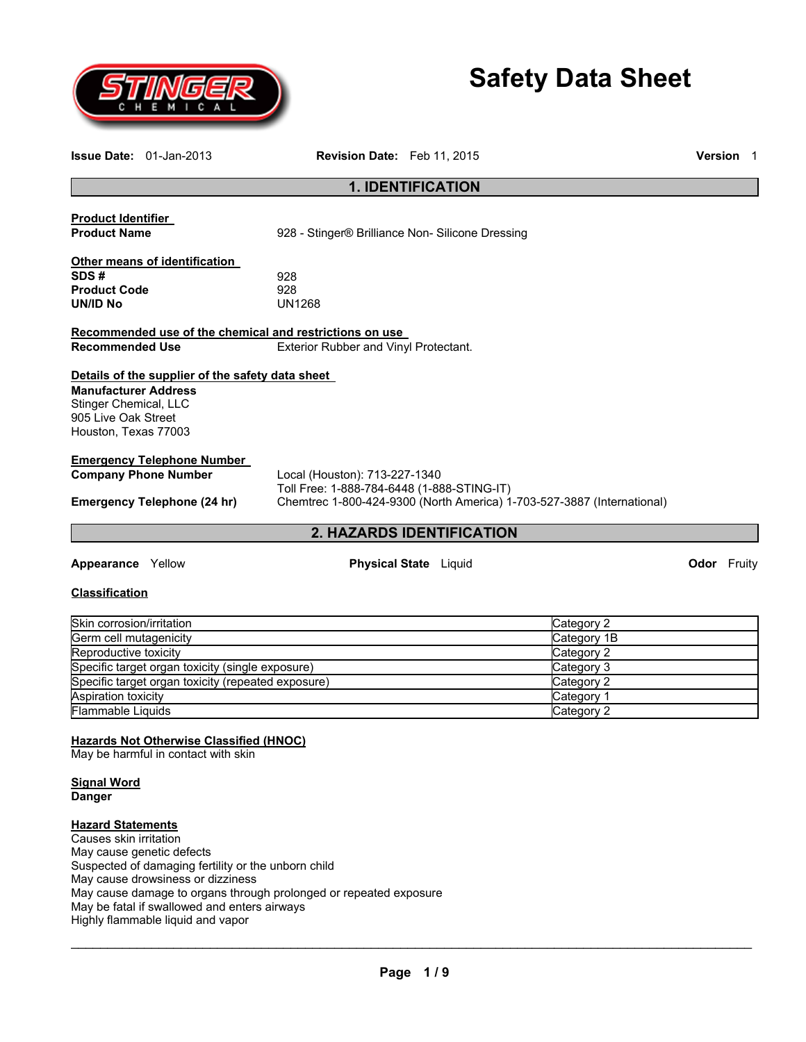

# **Safety Data Sheet**

|                                                                                                                                                                 | <b>Issue Date: 01-Jan-2013</b>                                                                                                                                                                                                                                  | Revision Date: Feb 11, 2015                                                                      |  |  |                                                                                                 |  | Version 1          |
|-----------------------------------------------------------------------------------------------------------------------------------------------------------------|-----------------------------------------------------------------------------------------------------------------------------------------------------------------------------------------------------------------------------------------------------------------|--------------------------------------------------------------------------------------------------|--|--|-------------------------------------------------------------------------------------------------|--|--------------------|
| <b>1. IDENTIFICATION</b>                                                                                                                                        |                                                                                                                                                                                                                                                                 |                                                                                                  |  |  |                                                                                                 |  |                    |
| <b>Product Identifier</b><br><b>Product Name</b>                                                                                                                |                                                                                                                                                                                                                                                                 | 928 - Stinger® Brilliance Non- Silicone Dressing                                                 |  |  |                                                                                                 |  |                    |
| SDS#<br><b>Product Code</b><br>UN/ID No                                                                                                                         | Other means of identification                                                                                                                                                                                                                                   | 928<br>928<br><b>UN1268</b>                                                                      |  |  |                                                                                                 |  |                    |
| <b>Recommended Use</b>                                                                                                                                          |                                                                                                                                                                                                                                                                 | Recommended use of the chemical and restrictions on use<br>Exterior Rubber and Vinyl Protectant. |  |  |                                                                                                 |  |                    |
| <b>Manufacturer Address</b><br>Stinger Chemical, LLC<br>905 Live Oak Street<br>Houston, Texas 77003                                                             | Details of the supplier of the safety data sheet                                                                                                                                                                                                                |                                                                                                  |  |  |                                                                                                 |  |                    |
|                                                                                                                                                                 | <b>Emergency Telephone Number</b><br><b>Company Phone Number</b><br>Local (Houston): 713-227-1340<br>Toll Free: 1-888-784-6448 (1-888-STING-IT)<br>Chemtrec 1-800-424-9300 (North America) 1-703-527-3887 (International)<br><b>Emergency Telephone (24 hr)</b> |                                                                                                  |  |  |                                                                                                 |  |                    |
|                                                                                                                                                                 |                                                                                                                                                                                                                                                                 | 2. HAZARDS IDENTIFICATION                                                                        |  |  |                                                                                                 |  |                    |
| <b>Appearance</b> Yellow                                                                                                                                        |                                                                                                                                                                                                                                                                 | <b>Physical State</b> Liquid                                                                     |  |  |                                                                                                 |  | <b>Odor</b> Fruity |
| <b>Classification</b>                                                                                                                                           |                                                                                                                                                                                                                                                                 |                                                                                                  |  |  |                                                                                                 |  |                    |
| Skin corrosion/irritation<br>Germ cell mutagenicity<br>Reproductive toxicity<br>Aspiration toxicity<br>Flammable Liquids<br><b>Signal Word</b><br><b>Danger</b> | Specific target organ toxicity (single exposure)<br>Specific target organ toxicity (repeated exposure)<br><b>Hazards Not Otherwise Classified (HNOC)</b><br>May be harmful in contact with skin                                                                 |                                                                                                  |  |  | Category 2<br>Category 1B<br>Category 2<br>Category 3<br>Category 2<br>Category 1<br>Category 2 |  |                    |
| <b>Hazard Statements</b>                                                                                                                                        |                                                                                                                                                                                                                                                                 |                                                                                                  |  |  |                                                                                                 |  |                    |

Causes skin irritation May cause genetic defects Suspected of damaging fertility or the unborn child May cause drowsiness or dizziness May cause damage to organs through prolonged or repeated exposure May be fatal if swallowed and enters airways Highly flammable liquid and vapor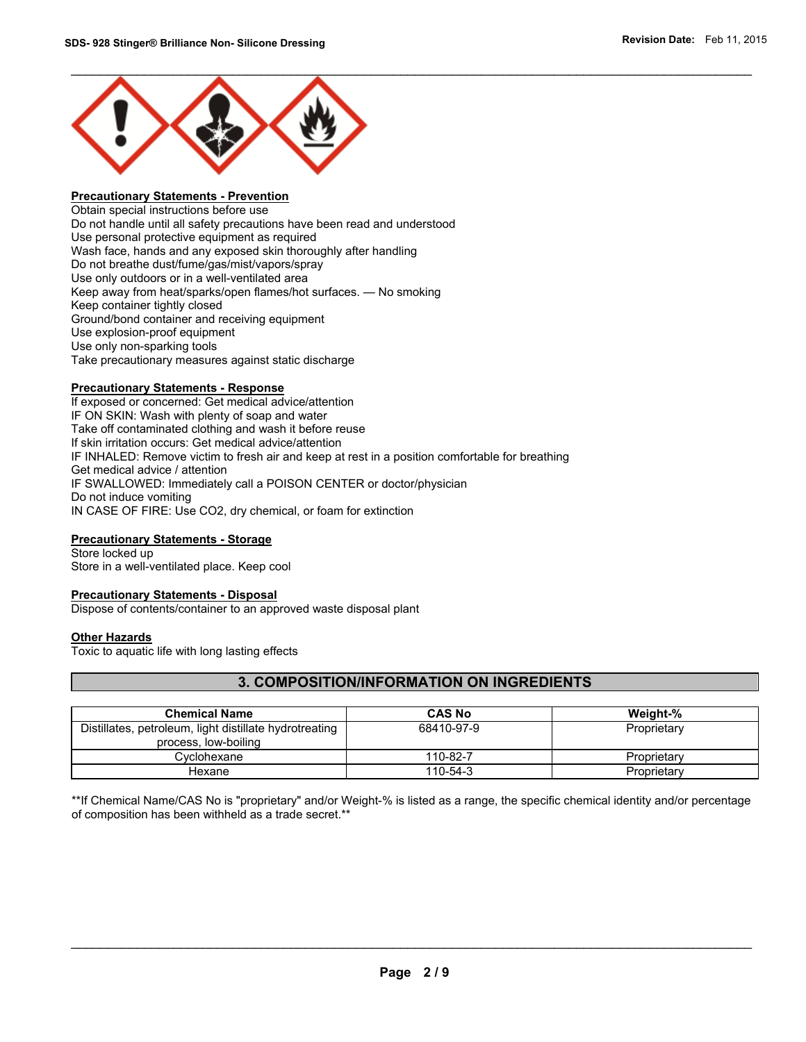

# **Precautionary Statements - Prevention**

Obtain special instructions before use Do not handle until all safety precautions have been read and understood Use personal protective equipment as required Wash face, hands and any exposed skin thoroughly after handling Do not breathe dust/fume/gas/mist/vapors/spray Use only outdoors or in a well-ventilated area Keep away from heat/sparks/open flames/hot surfaces. — No smoking Keep container tightly closed Ground/bond container and receiving equipment Use explosion-proof equipment Use only non-sparking tools Take precautionary measures against static discharge

#### **Precautionary Statements - Response**

If exposed or concerned: Get medical advice/attention IF ON SKIN: Wash with plenty of soap and water Take off contaminated clothing and wash it before reuse If skin irritation occurs: Get medical advice/attention IF INHALED: Remove victim to fresh air and keep at rest in a position comfortable for breathing Get medical advice / attention IF SWALLOWED: Immediately call a POISON CENTER or doctor/physician Do not induce vomiting IN CASE OF FIRE: Use CO2, dry chemical, or foam for extinction

#### **Precautionary Statements - Storage**

Store locked up Store in a well-ventilated place. Keep cool

#### **Precautionary Statements - Disposal**

Dispose of contents/container to an approved waste disposal plant

#### **Other Hazards**

Toxic to aquatic life with long lasting effects

# **3. COMPOSITION/INFORMATION ON INGREDIENTS**

| <b>Chemical Name</b>                                   | <b>CAS No</b> | Weight-%    |
|--------------------------------------------------------|---------------|-------------|
| Distillates, petroleum, light distillate hydrotreating | 68410-97-9    | Proprietary |
| process, low-boiling                                   |               |             |
| Cvclohexane                                            | 110-82-7      | Proprietary |
| Hexane                                                 | 110-54-3      | Proprietary |

\*\*If Chemical Name/CAS No is "proprietary" and/or Weight-% is listed as a range, the specific chemical identity and/or percentage of composition has been withheld as a trade secret.\*\*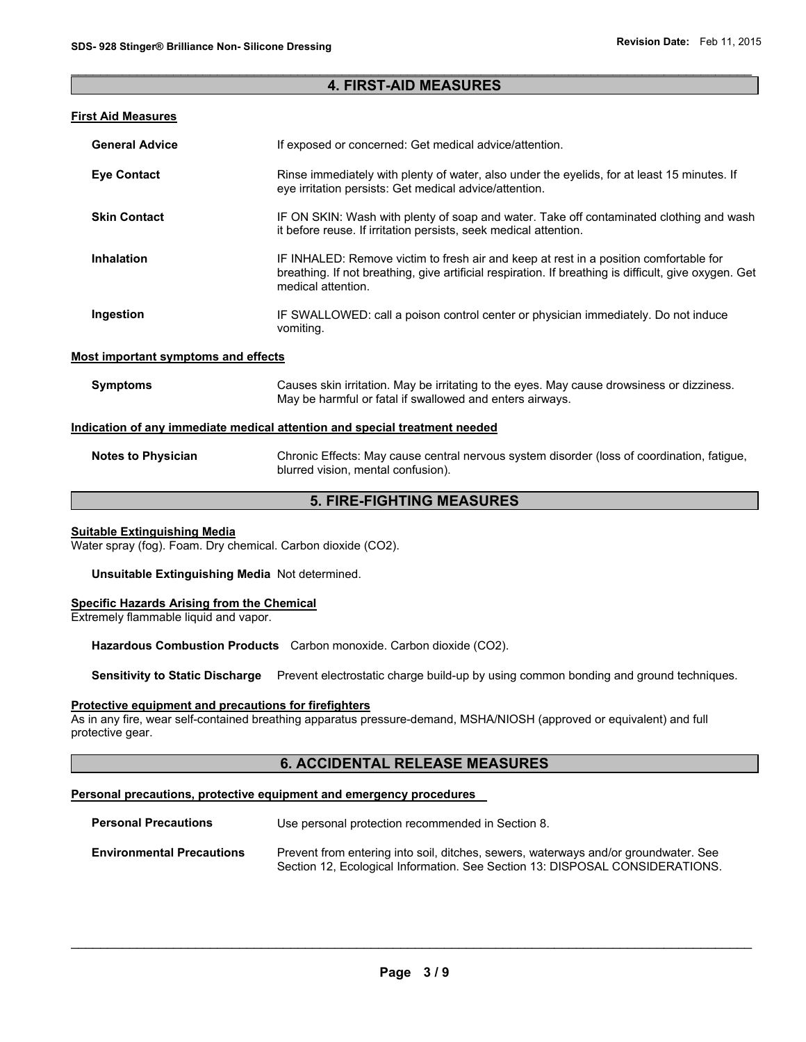## $\mathcal{L}_\mathcal{L} = \{ \mathcal{L}_\mathcal{L} = \{ \mathcal{L}_\mathcal{L} = \{ \mathcal{L}_\mathcal{L} = \{ \mathcal{L}_\mathcal{L} = \{ \mathcal{L}_\mathcal{L} = \{ \mathcal{L}_\mathcal{L} = \{ \mathcal{L}_\mathcal{L} = \{ \mathcal{L}_\mathcal{L} = \{ \mathcal{L}_\mathcal{L} = \{ \mathcal{L}_\mathcal{L} = \{ \mathcal{L}_\mathcal{L} = \{ \mathcal{L}_\mathcal{L} = \{ \mathcal{L}_\mathcal{L} = \{ \mathcal{L}_\mathcal{$ **4. FIRST-AID MEASURES**

# **First Aid Measures**

| <b>General Advice</b>               | If exposed or concerned: Get medical advice/attention.                                                                                                                                                               |  |
|-------------------------------------|----------------------------------------------------------------------------------------------------------------------------------------------------------------------------------------------------------------------|--|
| <b>Eve Contact</b>                  | Rinse immediately with plenty of water, also under the eyelids, for at least 15 minutes. If<br>eye irritation persists: Get medical advice/attention.                                                                |  |
| <b>Skin Contact</b>                 | IF ON SKIN: Wash with plenty of soap and water. Take off contaminated clothing and wash<br>it before reuse. If irritation persists, seek medical attention.                                                          |  |
| <b>Inhalation</b>                   | IF INHALED: Remove victim to fresh air and keep at rest in a position comfortable for<br>breathing. If not breathing, give artificial respiration. If breathing is difficult, give oxygen. Get<br>medical attention. |  |
| Ingestion                           | IF SWALLOWED: call a poison control center or physician immediately. Do not induce<br>vomiting.                                                                                                                      |  |
| Most important symptoms and effects |                                                                                                                                                                                                                      |  |
| <b>Symptoms</b>                     | Causes skin irritation. May be irritating to the eyes. May cause drowsiness or dizziness.<br>May be harmful or fatal if swallowed and enters airways.                                                                |  |

#### **Indication of any immediate medical attention and special treatment needed**

**Notes to Physician** Chronic Effects: May cause central nervous system disorder (loss of coordination, fatigue, blurred vision, mental confusion).

# **5. FIRE-FIGHTING MEASURES**

#### **Suitable Extinguishing Media**

Water spray (fog). Foam. Dry chemical. Carbon dioxide (CO2).

**Unsuitable Extinguishing Media** Not determined.

## **Specific Hazards Arising from the Chemical**

Extremely flammable liquid and vapor.

**Hazardous Combustion Products** Carbon monoxide. Carbon dioxide (CO2).

**Sensitivity to Static Discharge** Prevent electrostatic charge build-up by using common bonding and ground techniques.

#### **Protective equipment and precautions for firefighters**

As in any fire, wear self-contained breathing apparatus pressure-demand, MSHA/NIOSH (approved or equivalent) and full protective gear.

# **6. ACCIDENTAL RELEASE MEASURES**

#### **Personal precautions, protective equipment and emergency procedures**

| <b>Personal Precautions</b>      | Use personal protection recommended in Section 8.                                                                                                                   |
|----------------------------------|---------------------------------------------------------------------------------------------------------------------------------------------------------------------|
| <b>Environmental Precautions</b> | Prevent from entering into soil, ditches, sewers, waterways and/or groundwater. See<br>Section 12, Ecological Information. See Section 13: DISPOSAL CONSIDERATIONS. |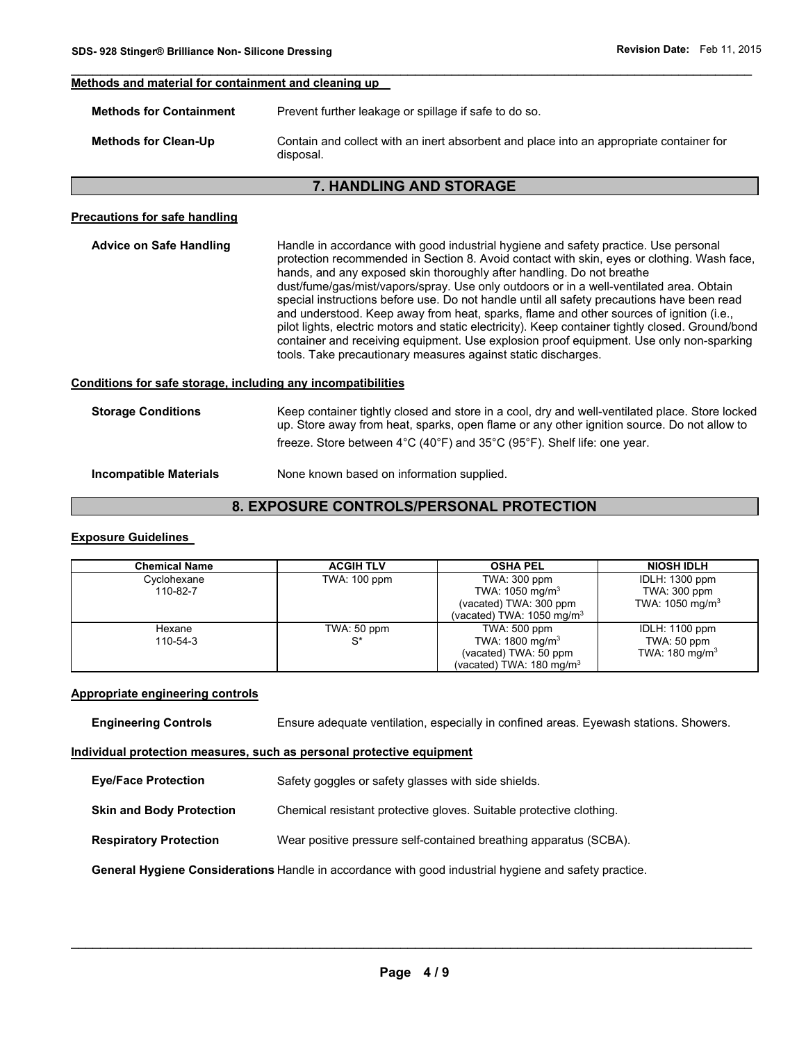#### **Methods and material for containment and cleaning up**

| <b>Methods for Containment</b> | Prevent further leakage or spillage if safe to do so.                                                |  |
|--------------------------------|------------------------------------------------------------------------------------------------------|--|
| <b>Methods for Clean-Up</b>    | Contain and collect with an inert absorbent and place into an appropriate container for<br>disposal. |  |

 $\mathcal{L}_\mathcal{L} = \{ \mathcal{L}_\mathcal{L} = \{ \mathcal{L}_\mathcal{L} = \{ \mathcal{L}_\mathcal{L} = \{ \mathcal{L}_\mathcal{L} = \{ \mathcal{L}_\mathcal{L} = \{ \mathcal{L}_\mathcal{L} = \{ \mathcal{L}_\mathcal{L} = \{ \mathcal{L}_\mathcal{L} = \{ \mathcal{L}_\mathcal{L} = \{ \mathcal{L}_\mathcal{L} = \{ \mathcal{L}_\mathcal{L} = \{ \mathcal{L}_\mathcal{L} = \{ \mathcal{L}_\mathcal{L} = \{ \mathcal{L}_\mathcal{$ 

### **7. HANDLING AND STORAGE**

#### **Precautions for safe handling**

**Advice on Safe Handling** Handle in accordance with good industrial hygiene and safety practice. Use personal protection recommended in Section 8. Avoid contact with skin, eyes or clothing. Wash face, hands, and any exposed skin thoroughly after handling. Do not breathe dust/fume/gas/mist/vapors/spray. Use only outdoors or in a well-ventilated area. Obtain special instructions before use. Do not handle until all safety precautions have been read and understood. Keep away from heat, sparks, flame and other sources of ignition (i.e., pilot lights, electric motors and static electricity). Keep container tightly closed. Ground/bond container and receiving equipment. Use explosion proof equipment. Use only non-sparking tools. Take precautionary measures against static discharges.

# **Conditions for safe storage, including any incompatibilities**

| <b>Storage Conditions</b> | Keep container tightly closed and store in a cool, dry and well-ventilated place. Store locked<br>up. Store away from heat, sparks, open flame or any other ignition source. Do not allow to<br>freeze. Store between 4°C (40°F) and 35°C (95°F). Shelf life: one year. |
|---------------------------|-------------------------------------------------------------------------------------------------------------------------------------------------------------------------------------------------------------------------------------------------------------------------|
| Incompatible Materials    | None known based on information supplied.                                                                                                                                                                                                                               |

# **8. EXPOSURE CONTROLS/PERSONAL PROTECTION**

#### **Exposure Guidelines**

| <b>Chemical Name</b> | <b>ACGIH TLV</b> | <b>OSHA PEL</b>                     | <b>NIOSH IDLH</b>          |
|----------------------|------------------|-------------------------------------|----------------------------|
| Cyclohexane          | TWA: 100 ppm     | TWA: 300 ppm                        | IDLH: 1300 ppm             |
| 110-82-7             |                  | TWA: $1050 \text{ mg/m}^3$          | TWA: 300 ppm               |
|                      |                  | (vacated) TWA: 300 ppm              | TWA: $1050 \text{ mg/m}^3$ |
|                      |                  | (vacated) TWA: 1050 mg/m $3$        |                            |
| Hexane               | TWA: 50 ppm      | TWA: 500 ppm                        | <b>IDLH: 1100 ppm</b>      |
| 110-54-3             | S*               | TWA: 1800 mg/m <sup>3</sup>         | TWA: $50$ ppm              |
|                      |                  | (vacated) TWA: 50 ppm               | TWA: $180 \text{ mg/m}^3$  |
|                      |                  | (vacated) TWA: $180 \text{ mg/m}^3$ |                            |

#### **Appropriate engineering controls**

**Engineering Controls Ensure adequate ventilation, especially in confined areas. Eyewash stations. Showers.** 

#### **Individual protection measures, such as personal protective equipment**

| <b>Eye/Face Protection</b> | Safety goggles or safety glasses with side shields. |
|----------------------------|-----------------------------------------------------|
|----------------------------|-----------------------------------------------------|

- **Skin and Body Protection Chemical resistant protective gloves. Suitable protective clothing.**
- **Respiratory Protection** Wear positive pressure self-contained breathing apparatus (SCBA).

**General Hygiene Considerations** Handle in accordance with good industrial hygiene and safety practice.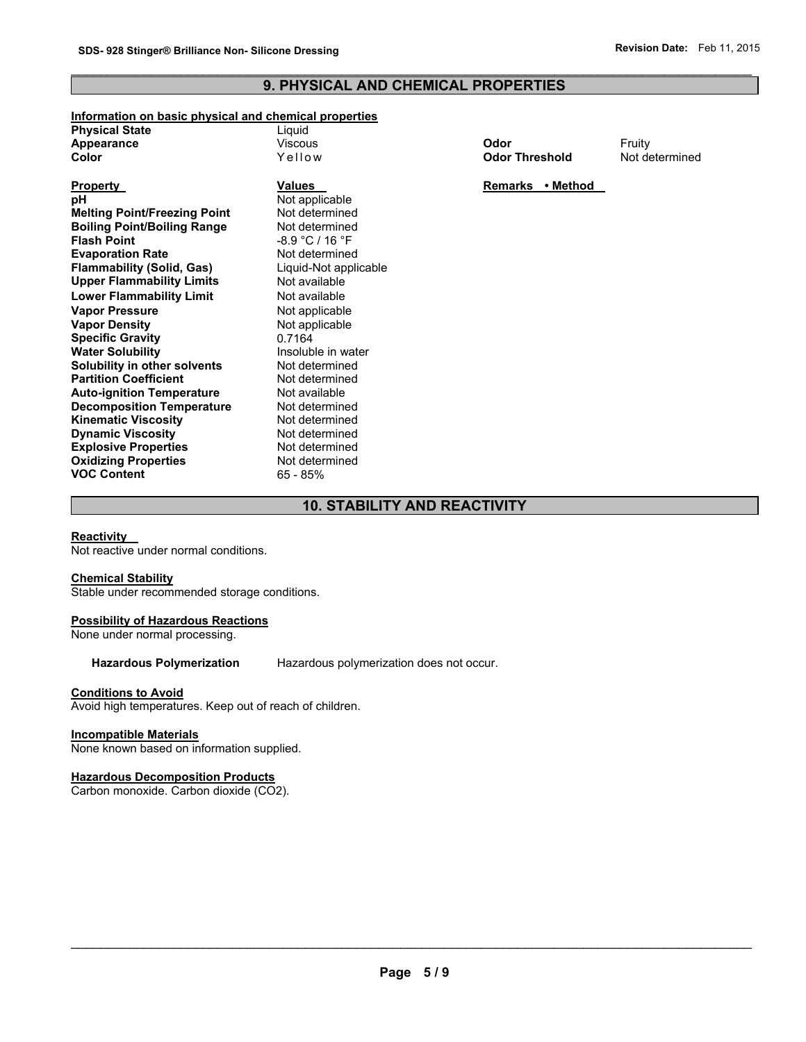# $\mathcal{L}_\mathcal{L} = \{ \mathcal{L}_\mathcal{L} = \{ \mathcal{L}_\mathcal{L} = \{ \mathcal{L}_\mathcal{L} = \{ \mathcal{L}_\mathcal{L} = \{ \mathcal{L}_\mathcal{L} = \{ \mathcal{L}_\mathcal{L} = \{ \mathcal{L}_\mathcal{L} = \{ \mathcal{L}_\mathcal{L} = \{ \mathcal{L}_\mathcal{L} = \{ \mathcal{L}_\mathcal{L} = \{ \mathcal{L}_\mathcal{L} = \{ \mathcal{L}_\mathcal{L} = \{ \mathcal{L}_\mathcal{L} = \{ \mathcal{L}_\mathcal{$ **9. PHYSICAL AND CHEMICAL PROPERTIES**

#### **Information on basic physical and chemical properties**

| <b>Physical State</b> | Liguid  |                       |        |
|-----------------------|---------|-----------------------|--------|
| Appearance            | Viscous | Odor                  | Fruitv |
| Color                 | Yellow  | <b>Odor Threshold</b> | Not de |

| Property                            |
|-------------------------------------|
| рH                                  |
| <b>Melting Point/Freezing Point</b> |
| <b>Boiling Point/Boiling Range</b>  |
| <b>Flash Point</b>                  |
| <b>Evaporation Rate</b>             |
| <b>Flammability (Solid, Gas)</b>    |
| <b>Upper Flammability Limits</b>    |
| <b>Lower Flammability Limit</b>     |
| <b>Vapor Pressure</b>               |
| <b>Vapor Density</b>                |
| <b>Specific Gravity</b>             |
| <b>Water Solubility</b>             |
| <b>Solubility in other solvents</b> |
| <b>Partition Coefficient</b>        |
| <b>Auto-ignition Temperature</b>    |
| <b>Decomposition Temperature</b>    |
| <b>Kinematic Viscosity</b>          |
| <b>Dynamic Viscosity</b>            |
| <b>Explosive Properties</b>         |
| <b>Oxidizing Properties</b>         |
| <b>VOC Content</b>                  |

**Not applicable Not determined Not determined Flash Point** -8.9 °C / 16 °F **Not determined Flammability (Solid, Gas)** Liquid-Not applicable **Not available Not available Not applicable Not applicable Specific Gravity** 0.7164 **Insoluble in water** Not determined **Not determined Not available Not determined Not determined Not determined Explosive Properties** Not determined **Not determined VOC Content** 65 - 85%

**Odor Threshold** Not determined

**Property Values Property Remarks • Method** 

# **10. STABILITY AND REACTIVITY**

#### **Reactivity**

Not reactive under normal conditions.

#### **Chemical Stability**

Stable under recommended storage conditions.

#### **Possibility of Hazardous Reactions**

None under normal processing.

**Hazardous Polymerization** Hazardous polymerization does not occur.

#### **Conditions to Avoid**

Avoid high temperatures. Keep out of reach of children.

#### **Incompatible Materials**

None known based on information supplied.

#### **Hazardous Decomposition Products**

Carbon monoxide. Carbon dioxide (CO2).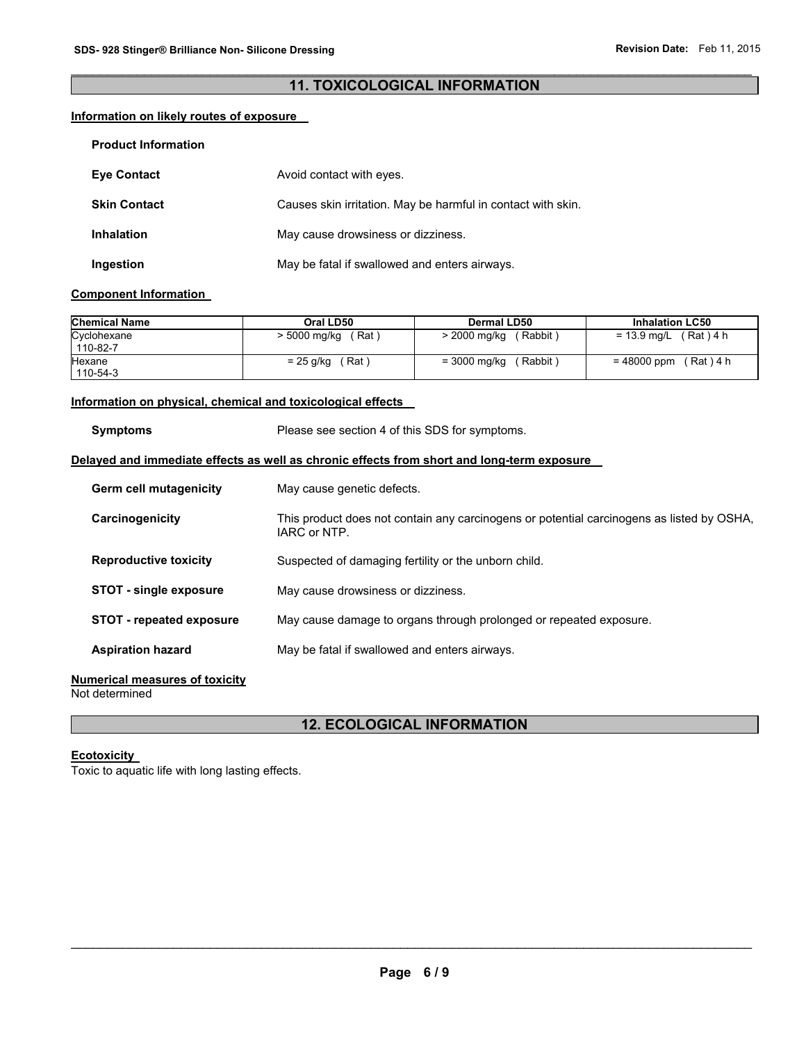# $\mathcal{L}_\mathcal{L} = \{ \mathcal{L}_\mathcal{L} = \{ \mathcal{L}_\mathcal{L} = \{ \mathcal{L}_\mathcal{L} = \{ \mathcal{L}_\mathcal{L} = \{ \mathcal{L}_\mathcal{L} = \{ \mathcal{L}_\mathcal{L} = \{ \mathcal{L}_\mathcal{L} = \{ \mathcal{L}_\mathcal{L} = \{ \mathcal{L}_\mathcal{L} = \{ \mathcal{L}_\mathcal{L} = \{ \mathcal{L}_\mathcal{L} = \{ \mathcal{L}_\mathcal{L} = \{ \mathcal{L}_\mathcal{L} = \{ \mathcal{L}_\mathcal{$ **11. TOXICOLOGICAL INFORMATION**

# **Information on likely routes of exposure**

| <b>Product Information</b> |                                                              |
|----------------------------|--------------------------------------------------------------|
| <b>Eve Contact</b>         | Avoid contact with eyes.                                     |
| <b>Skin Contact</b>        | Causes skin irritation. May be harmful in contact with skin. |
| <b>Inhalation</b>          | May cause drowsiness or dizziness.                           |
| Ingestion                  | May be fatal if swallowed and enters airways.                |

#### **Component Information**

| <b>Chemical Name</b> | Oral LD50    | Dermal LD50          | <b>Inhalation LC50</b> |
|----------------------|--------------|----------------------|------------------------|
| Cyclohexane          | Rat          | (Rabbit <sup>)</sup> | (Rat)4 h               |
| 110-82-7             | > 5000 mg/kg | > 2000 mg/kg         | = 13.9 mg/L            |
| Hexane               | (Rat)        | (Rabbit <sup>)</sup> | = 48000 ppm            |
| 110-54-3             | = 25 g/kg    | $= 3000$ mg/kg       | (Rat) 4 h              |

#### **Information on physical, chemical and toxicological effects**

| <b>Symptoms</b>                                                                            | Please see section 4 of this SDS for symptoms.                                                            |  |  |
|--------------------------------------------------------------------------------------------|-----------------------------------------------------------------------------------------------------------|--|--|
| Delayed and immediate effects as well as chronic effects from short and long-term exposure |                                                                                                           |  |  |
| Germ cell mutagenicity                                                                     | May cause genetic defects.                                                                                |  |  |
| Carcinogenicity                                                                            | This product does not contain any carcinogens or potential carcinogens as listed by OSHA,<br>IARC or NTP. |  |  |
| <b>Reproductive toxicity</b>                                                               | Suspected of damaging fertility or the unborn child.                                                      |  |  |
| <b>STOT - single exposure</b>                                                              | May cause drowsiness or dizziness.                                                                        |  |  |
| <b>STOT - repeated exposure</b>                                                            | May cause damage to organs through prolonged or repeated exposure.                                        |  |  |
| <b>Aspiration hazard</b>                                                                   | May be fatal if swallowed and enters airways.                                                             |  |  |
|                                                                                            |                                                                                                           |  |  |

# **Numerical measures of toxicity**

Not determined

# **12. ECOLOGICAL INFORMATION**

# **Ecotoxicity**

Toxic to aquatic life with long lasting effects.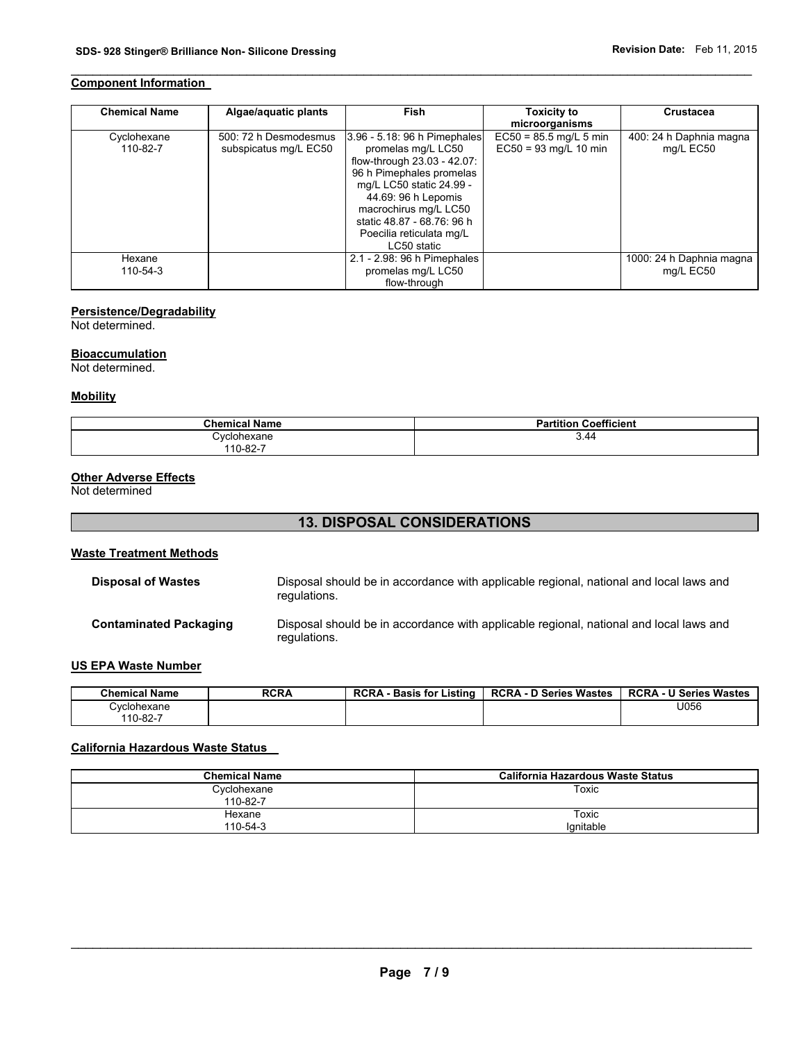# **Component Information**

| <b>Chemical Name</b>    | Algae/aquatic plants                           | Fish                                                                                                                                                                                                                                                               | <b>Toxicity to</b><br>microorganisms                | <b>Crustacea</b>                     |
|-------------------------|------------------------------------------------|--------------------------------------------------------------------------------------------------------------------------------------------------------------------------------------------------------------------------------------------------------------------|-----------------------------------------------------|--------------------------------------|
| Cyclohexane<br>110-82-7 | 500: 72 h Desmodesmus<br>subspicatus mg/L EC50 | 3.96 - 5.18: 96 h Pimephales<br>promelas mg/L LC50<br>flow-through 23.03 - 42.07:<br>96 h Pimephales promelas<br>mg/L LC50 static 24.99 -<br>44.69: 96 h Lepomis<br>macrochirus mg/L LC50<br>static 48.87 - 68.76: 96 h<br>Poecilia reticulata mg/L<br>LC50 static | $EC50 = 85.5$ mg/L 5 min<br>$EC50 = 93$ mg/L 10 min | 400: 24 h Daphnia magna<br>mg/L EC50 |
| Hexane                  |                                                | 2.1 - 2.98: 96 h Pimephales                                                                                                                                                                                                                                        |                                                     | 1000: 24 h Daphnia magna             |
| 110-54-3                |                                                | promelas mg/L LC50<br>flow-through                                                                                                                                                                                                                                 |                                                     | mg/L EC50                            |

 $\mathcal{L}_\mathcal{L} = \{ \mathcal{L}_\mathcal{L} = \{ \mathcal{L}_\mathcal{L} = \{ \mathcal{L}_\mathcal{L} = \{ \mathcal{L}_\mathcal{L} = \{ \mathcal{L}_\mathcal{L} = \{ \mathcal{L}_\mathcal{L} = \{ \mathcal{L}_\mathcal{L} = \{ \mathcal{L}_\mathcal{L} = \{ \mathcal{L}_\mathcal{L} = \{ \mathcal{L}_\mathcal{L} = \{ \mathcal{L}_\mathcal{L} = \{ \mathcal{L}_\mathcal{L} = \{ \mathcal{L}_\mathcal{L} = \{ \mathcal{L}_\mathcal{$ 

# **Persistence/Degradability**

Not determined.

## **Bioaccumulation**

Not determined.

#### **Mobility**

| <b>Chemical Name</b> | <b>Partition Coefficient</b> |
|----------------------|------------------------------|
| Cvclohexane          | 3.44                         |
| 110-82-7             |                              |

# **Other Adverse Effects**

Not determined

# **13. DISPOSAL CONSIDERATIONS**

## **Waste Treatment Methods**

| <b>Disposal of Wastes</b>     | Disposal should be in accordance with applicable regional, national and local laws and<br>regulations. |
|-------------------------------|--------------------------------------------------------------------------------------------------------|
| <b>Contaminated Packaging</b> | Disposal should be in accordance with applicable regional, national and local laws and<br>regulations. |

## **US EPA Waste Number**

| <b>Chemical Name</b> | <b>RCRA</b> | <b>RCRA</b><br>Listina<br><b>Basis for</b> | D Series Wastes<br><b>RCRA - D</b> | <b>RCRA - U Series Wastes</b> |
|----------------------|-------------|--------------------------------------------|------------------------------------|-------------------------------|
| Cvclohexane          |             |                                            |                                    | U056                          |
| 110-82-7             |             |                                            |                                    |                               |

# **California Hazardous Waste Status**

| <b>Chemical Name</b>    | California Hazardous Waste Status |
|-------------------------|-----------------------------------|
| Cyclohexane<br>110-82-7 | Toxic                             |
| Hexane<br>110-54-3      | Toxic<br>Ignitable                |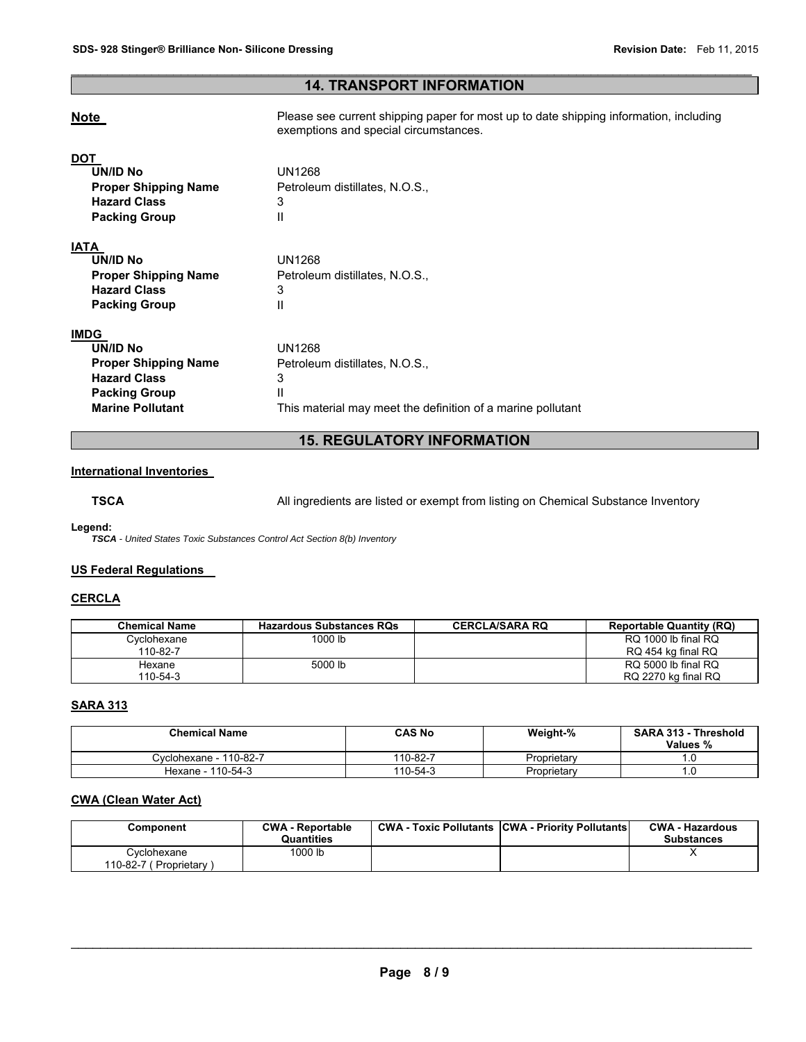# $\mathcal{L}_\mathcal{L} = \{ \mathcal{L}_\mathcal{L} = \{ \mathcal{L}_\mathcal{L} = \{ \mathcal{L}_\mathcal{L} = \{ \mathcal{L}_\mathcal{L} = \{ \mathcal{L}_\mathcal{L} = \{ \mathcal{L}_\mathcal{L} = \{ \mathcal{L}_\mathcal{L} = \{ \mathcal{L}_\mathcal{L} = \{ \mathcal{L}_\mathcal{L} = \{ \mathcal{L}_\mathcal{L} = \{ \mathcal{L}_\mathcal{L} = \{ \mathcal{L}_\mathcal{L} = \{ \mathcal{L}_\mathcal{L} = \{ \mathcal{L}_\mathcal{$ **14. TRANSPORT INFORMATION**

| <b>Note</b>                                                                                                                      | Please see current shipping paper for most up to date shipping information, including<br>exemptions and special circumstances. |
|----------------------------------------------------------------------------------------------------------------------------------|--------------------------------------------------------------------------------------------------------------------------------|
| <b>DOT</b><br>UN/ID No<br><b>Proper Shipping Name</b><br><b>Hazard Class</b><br><b>Packing Group</b>                             | <b>UN1268</b><br>Petroleum distillates, N.O.S.,<br>3<br>Ш                                                                      |
| <b>IATA</b><br><b>UN/ID No</b><br><b>Proper Shipping Name</b><br><b>Hazard Class</b><br><b>Packing Group</b>                     | <b>UN1268</b><br>Petroleum distillates, N.O.S.,<br>3<br>Ш                                                                      |
| <b>IMDG</b><br>UN/ID No<br><b>Proper Shipping Name</b><br><b>Hazard Class</b><br><b>Packing Group</b><br><b>Marine Pollutant</b> | <b>UN1268</b><br>Petroleum distillates, N.O.S.,<br>3<br>Ш<br>This material may meet the definition of a marine pollutant       |

# **15. REGULATORY INFORMATION**

#### **International Inventories**

**TSCA** All ingredients are listed or exempt from listing on Chemical Substance Inventory

**Legend:** 

*TSCA - United States Toxic Substances Control Act Section 8(b) Inventory* 

## **US Federal Regulations**

## **CERCLA**

| <b>Chemical Name</b> | <b>Hazardous Substances RQs</b> | <b>CERCLA/SARA RQ</b> | <b>Reportable Quantity (RQ)</b> |
|----------------------|---------------------------------|-----------------------|---------------------------------|
| Cvclohexane          | 1000 lb                         |                       | RQ 1000 lb final RQ             |
| 110-82-7             |                                 |                       | RQ 454 kg final RQ              |
| Hexane               | 5000 lb                         |                       | RQ 5000 lb final RQ             |
| 110-54-3             |                                 |                       | RQ 2270 kg final RQ             |

# **SARA 313**

| <b>Chemical Name</b>   | <b>CAS No</b> | Weight-%    | <b>SARA 313 - Threshold</b><br>Values % |
|------------------------|---------------|-------------|-----------------------------------------|
| Cvclohexane - 110-82-7 | 110-82-7      | Proprietary | ı.u                                     |
| Hexane - 110-54-3      | 110-54-3      | Proprietary | l .U                                    |

# **CWA (Clean Water Act)**

| Component                             | <b>CWA - Reportable</b><br><b>Quantities</b> | <b>CWA - Toxic Pollutants CWA - Priority Pollutants</b> | <b>CWA - Hazardous</b><br><b>Substances</b> |
|---------------------------------------|----------------------------------------------|---------------------------------------------------------|---------------------------------------------|
| Cyclohexane<br>110-82-7 (Proprietary) | 1000 lb                                      |                                                         |                                             |